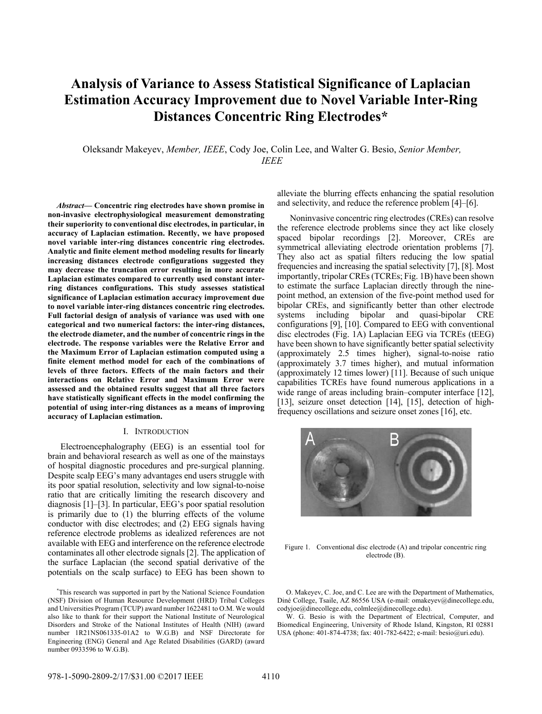# **Analysis of Variance to Assess Statistical Significance of Laplacian Estimation Accuracy Improvement due to Novel Variable Inter-Ring Distances Concentric Ring Electrodes\***

Oleksandr Makeyev, *Member, IEEE*, Cody Joe, Colin Lee, and Walter G. Besio, *Senior Member, IEEE*

*Abstract***— Concentric ring electrodes have shown promise in non-invasive electrophysiological measurement demonstrating their superiority to conventional disc electrodes, in particular, in accuracy of Laplacian estimation. Recently, we have proposed novel variable inter-ring distances concentric ring electrodes. Analytic and finite element method modeling results for linearly increasing distances electrode configurations suggested they may decrease the truncation error resulting in more accurate Laplacian estimates compared to currently used constant interring distances configurations. This study assesses statistical significance of Laplacian estimation accuracy improvement due to novel variable inter-ring distances concentric ring electrodes. Full factorial design of analysis of variance was used with one categorical and two numerical factors: the inter-ring distances, the electrode diameter, and the number of concentric rings in the electrode. The response variables were the Relative Error and the Maximum Error of Laplacian estimation computed using a finite element method model for each of the combinations of levels of three factors. Effects of the main factors and their interactions on Relative Error and Maximum Error were assessed and the obtained results suggest that all three factors have statistically significant effects in the model confirming the potential of using inter-ring distances as a means of improving accuracy of Laplacian estimation.** 

# I. INTRODUCTION

Electroencephalography (EEG) is an essential tool for brain and behavioral research as well as one of the mainstays of hospital diagnostic procedures and pre-surgical planning. Despite scalp EEG's many advantages end users struggle with its poor spatial resolution, selectivity and low signal-to-noise ratio that are critically limiting the research discovery and diagnosis [1]–[3]. In particular, EEG's poor spatial resolution is primarily due to (1) the blurring effects of the volume conductor with disc electrodes; and (2) EEG signals having reference electrode problems as idealized references are not available with EEG and interference on the reference electrode contaminates all other electrode signals [2]. The application of the surface Laplacian (the second spatial derivative of the potentials on the scalp surface) to EEG has been shown to

\* This research was supported in part by the National Science Foundation (NSF) Division of Human Resource Development (HRD) Tribal Colleges and Universities Program (TCUP) award number 1622481 to O.M. We would also like to thank for their support the National Institute of Neurological Disorders and Stroke of the National Institutes of Health (NIH) (award number 1R21NS061335-01A2 to W.G.B) and NSF Directorate for Engineering (ENG) General and Age Related Disabilities (GARD) (award number 0933596 to W.G.B).

alleviate the blurring effects enhancing the spatial resolution and selectivity, and reduce the reference problem [4]–[6].

Noninvasive concentric ring electrodes (CREs) can resolve the reference electrode problems since they act like closely spaced bipolar recordings [2]. Moreover, CREs are symmetrical alleviating electrode orientation problems [7]. They also act as spatial filters reducing the low spatial frequencies and increasing the spatial selectivity [7], [8]. Most importantly, tripolar CREs (TCREs; Fig. 1B) have been shown to estimate the surface Laplacian directly through the ninepoint method, an extension of the five-point method used for bipolar CREs, and significantly better than other electrode systems including bipolar and quasi-bipolar CRE configurations [9], [10]. Compared to EEG with conventional disc electrodes (Fig. 1A) Laplacian EEG via TCREs (tEEG) have been shown to have significantly better spatial selectivity (approximately 2.5 times higher), signal-to-noise ratio (approximately 3.7 times higher), and mutual information (approximately 12 times lower) [11]. Because of such unique capabilities TCREs have found numerous applications in a wide range of areas including brain–computer interface [12], [13], seizure onset detection [14], [15], detection of highfrequency oscillations and seizure onset zones [16], etc.



Figure 1. Conventional disc electrode (A) and tripolar concentric ring electrode (B).

O. Makeyev, C. Joe, and C. Lee are with the Department of Mathematics, Diné College, Tsaile, AZ 86556 USA (e-mail: omakeyev@dinecollege.edu, codyjoe@dinecollege.edu, colmlee@dinecollege.edu).

W. G. Besio is with the Department of Electrical, Computer, and Biomedical Engineering, University of Rhode Island, Kingston, RI 02881 USA (phone: 401-874-4738; fax: 401-782-6422; e-mail: besio@uri.edu).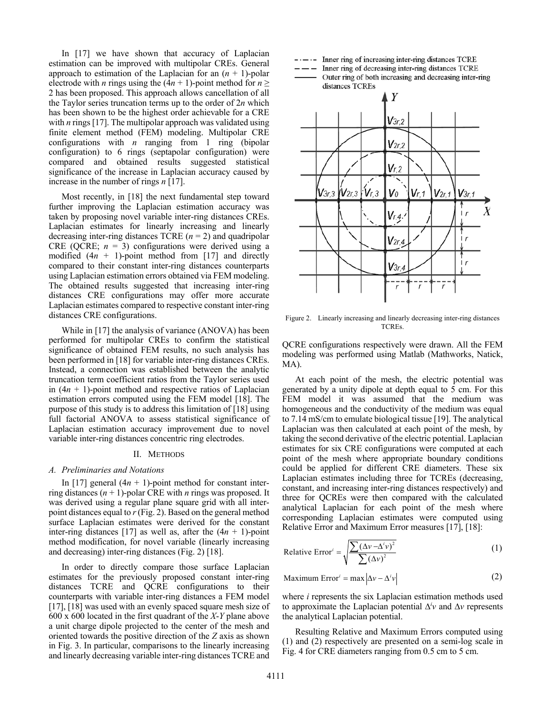In [17] we have shown that accuracy of Laplacian estimation can be improved with multipolar CREs. General approach to estimation of the Laplacian for an  $(n + 1)$ -polar electrode with *n* rings using the  $(4n + 1)$ -point method for  $n \ge$ 2 has been proposed. This approach allows cancellation of all the Taylor series truncation terms up to the order of 2*n* which has been shown to be the highest order achievable for a CRE with *n* rings [17]. The multipolar approach was validated using finite element method (FEM) modeling. Multipolar CRE configurations with *n* ranging from 1 ring (bipolar configuration) to 6 rings (septapolar configuration) were compared and obtained results suggested statistical significance of the increase in Laplacian accuracy caused by increase in the number of rings *n* [17].

Most recently, in [18] the next fundamental step toward further improving the Laplacian estimation accuracy was taken by proposing novel variable inter-ring distances CREs. Laplacian estimates for linearly increasing and linearly decreasing inter-ring distances TCRE (*n* = 2) and quadripolar CRE (QCRE;  $n = 3$ ) configurations were derived using a modified (4*n* + 1)-point method from [17] and directly compared to their constant inter-ring distances counterparts using Laplacian estimation errors obtained via FEM modeling. The obtained results suggested that increasing inter-ring distances CRE configurations may offer more accurate Laplacian estimates compared to respective constant inter-ring distances CRE configurations.

While in [17] the analysis of variance (ANOVA) has been performed for multipolar CREs to confirm the statistical significance of obtained FEM results, no such analysis has been performed in [18] for variable inter-ring distances CREs. Instead, a connection was established between the analytic truncation term coefficient ratios from the Taylor series used in  $(4n + 1)$ -point method and respective ratios of Laplacian estimation errors computed using the FEM model [18]. The purpose of this study is to address this limitation of [18] using full factorial ANOVA to assess statistical significance of Laplacian estimation accuracy improvement due to novel variable inter-ring distances concentric ring electrodes.

#### II. METHODS

### *A. Preliminaries and Notations*

In [17] general  $(4n + 1)$ -point method for constant interring distances  $(n + 1)$ -polar CRE with *n* rings was proposed. It was derived using a regular plane square grid with all interpoint distances equal to *r* (Fig. 2). Based on the general method surface Laplacian estimates were derived for the constant inter-ring distances [17] as well as, after the  $(4n + 1)$ -point method modification, for novel variable (linearly increasing and decreasing) inter-ring distances (Fig. 2) [18].

In order to directly compare those surface Laplacian estimates for the previously proposed constant inter-ring distances TCRE and QCRE configurations to their counterparts with variable inter-ring distances a FEM model [17], [18] was used with an evenly spaced square mesh size of 600 x 600 located in the first quadrant of the *X*-*Y* plane above a unit charge dipole projected to the center of the mesh and oriented towards the positive direction of the *Z* axis as shown in Fig. 3. In particular, comparisons to the linearly increasing and linearly decreasing variable inter-ring distances TCRE and  $---$  Inner ring of increasing inter-ring distances TCRE

Inner ring of decreasing inter-ring distances TCRE

Outer ring of both increasing and decreasing inter-ring distances TCREs



Figure 2. Linearly increasing and linearly decreasing inter-ring distances TCREs.

QCRE configurations respectively were drawn. All the FEM modeling was performed using Matlab (Mathworks, Natick, MA).

At each point of the mesh, the electric potential was generated by a unity dipole at depth equal to 5 cm. For this FEM model it was assumed that the medium was homogeneous and the conductivity of the medium was equal to 7.14 mS/cm to emulate biological tissue [19]. The analytical Laplacian was then calculated at each point of the mesh, by taking the second derivative of the electric potential. Laplacian estimates for six CRE configurations were computed at each point of the mesh where appropriate boundary conditions could be applied for different CRE diameters. These six Laplacian estimates including three for TCREs (decreasing, constant, and increasing inter-ring distances respectively) and three for QCREs were then compared with the calculated analytical Laplacian for each point of the mesh where corresponding Laplacian estimates were computed using Relative Error and Maximum Error measures [17], [18]:

Relative Error' = 
$$
\sqrt{\frac{\sum (\Delta v - \Delta' v)^2}{\sum (\Delta v)^2}}
$$
 (1)

$$
Maximum Errori = max | \Delta v - \Deltai v |
$$
 (2)

where *i* represents the six Laplacian estimation methods used to approximate the Laplacian potential ∆*<sup>i</sup> v* and ∆*v* represents the analytical Laplacian potential.

Resulting Relative and Maximum Errors computed using (1) and (2) respectively are presented on a semi-log scale in Fig. 4 for CRE diameters ranging from 0.5 cm to 5 cm.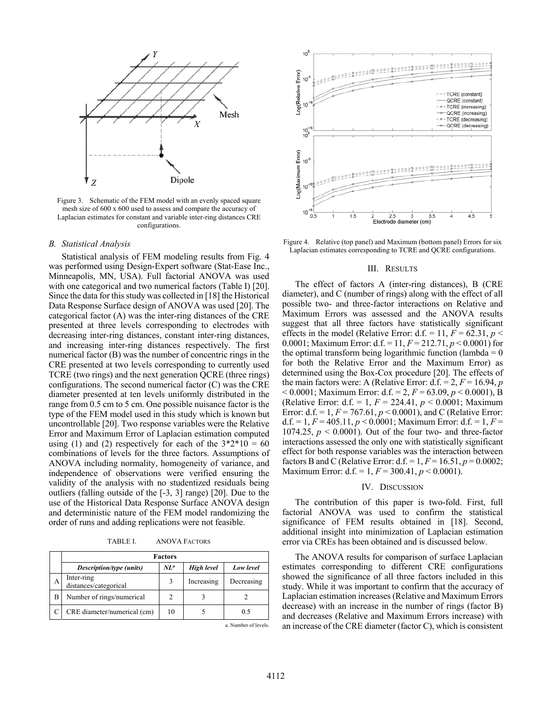

Figure 3. Schematic of the FEM model with an evenly spaced square mesh size of 600 x 600 used to assess and compare the accuracy of Laplacian estimates for constant and variable inter-ring distances CRE configurations.

#### *B. Statistical Analysis*

Statistical analysis of FEM modeling results from Fig. 4 was performed using Design-Expert software (Stat-Ease Inc., Minneapolis, MN, USA). Full factorial ANOVA was used with one categorical and two numerical factors (Table I) [20]. Since the data for this study was collected in [18] the Historical Data Response Surface design of ANOVA was used [20]. The categorical factor (A) was the inter-ring distances of the CRE presented at three levels corresponding to electrodes with decreasing inter-ring distances, constant inter-ring distances, and increasing inter-ring distances respectively. The first numerical factor (B) was the number of concentric rings in the CRE presented at two levels corresponding to currently used TCRE (two rings) and the next generation QCRE (three rings) configurations. The second numerical factor (C) was the CRE diameter presented at ten levels uniformly distributed in the range from 0.5 cm to 5 cm. One possible nuisance factor is the type of the FEM model used in this study which is known but uncontrollable [20]. Two response variables were the Relative Error and Maximum Error of Laplacian estimation computed using (1) and (2) respectively for each of the  $3*2*10 = 60$ combinations of levels for the three factors. Assumptions of ANOVA including normality, homogeneity of variance, and independence of observations were verified ensuring the validity of the analysis with no studentized residuals being outliers (falling outside of the [-3, 3] range) [20]. Due to the use of the Historical Data Response Surface ANOVA design and deterministic nature of the FEM model randomizing the order of runs and adding replications were not feasible.

TABLE I. ANOVA FACTORS

|   | <b>Factors</b>                      |                 |            |            |
|---|-------------------------------------|-----------------|------------|------------|
|   | Description/type (units)            | NL <sup>a</sup> | High level | Low level  |
| А | Inter-ring<br>distances/categorical |                 | Increasing | Decreasing |
| B | Number of rings/numerical           |                 |            |            |
|   | CRE diameter/numerical (cm)         | 10              |            | 0.5        |

a. Number of levels.



Figure 4. Relative (top panel) and Maximum (bottom panel) Errors for six Laplacian estimates corresponding to TCRE and QCRE configurations.

## III. RESULTS

The effect of factors A (inter-ring distances), B (CRE diameter), and C (number of rings) along with the effect of all possible two- and three-factor interactions on Relative and Maximum Errors was assessed and the ANOVA results suggest that all three factors have statistically significant effects in the model (Relative Error: d.f. = 11,  $F = 62.31$ ,  $p <$ 0.0001; Maximum Error: d.f. = 11, *F* = 212.71, *p* < 0.0001) for the optimal transform being logarithmic function (lambda  $= 0$ ) for both the Relative Error and the Maximum Error) as determined using the Box-Cox procedure [20]. The effects of the main factors were: A (Relative Error:  $d.f. = 2, F = 16.94, p$ < 0.0001; Maximum Error: d.f. = 2, *F* = 63.09, *p* < 0.0001), B (Relative Error: d.f. = 1, *F* = 224.41, *p* < 0.0001; Maximum Error: d.f. = 1,  $F = 767.61$ ,  $p < 0.0001$ ), and C (Relative Error: d.f. = 1,  $F = 405.11$ ,  $p < 0.0001$ ; Maximum Error: d.f. = 1,  $F =$ 1074.25,  $p < 0.0001$ ). Out of the four two- and three-factor interactions assessed the only one with statistically significant effect for both response variables was the interaction between factors B and C (Relative Error:  $d.f. = 1, F = 16.51, p = 0.0002$ ; Maximum Error: d.f. = 1, *F* = 300.41, *p* < 0.0001).

#### IV. DISCUSSION

The contribution of this paper is two-fold. First, full factorial ANOVA was used to confirm the statistical significance of FEM results obtained in [18]. Second, additional insight into minimization of Laplacian estimation error via CREs has been obtained and is discussed below.

The ANOVA results for comparison of surface Laplacian estimates corresponding to different CRE configurations showed the significance of all three factors included in this study. While it was important to confirm that the accuracy of Laplacian estimation increases (Relative and Maximum Errors decrease) with an increase in the number of rings (factor B) and decreases (Relative and Maximum Errors increase) with an increase of the CRE diameter (factor C), which is consistent